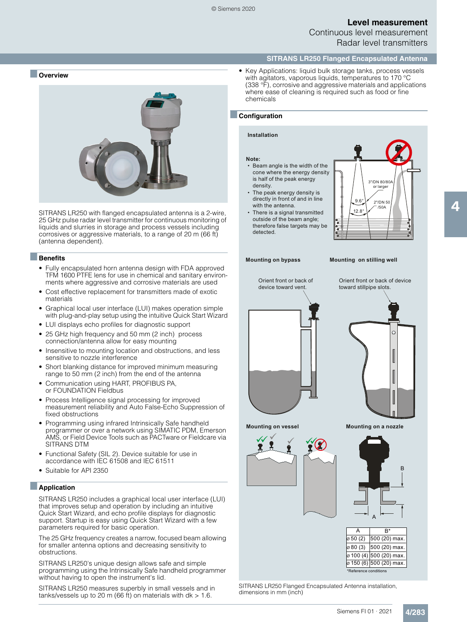### **Level measurement** Continuous level measurement

Radar level transmitters

#### **SITRANS LR250 Flanged Encapsulated Antenna**

■ **Overview**



SITRANS LR250 with flanged encapsulated antenna is a 2-wire, 25 GHz pulse radar level transmitter for continuous monitoring of liquids and slurries in storage and process vessels including corrosives or aggressive materials, to a range of 20 m (66 ft) (antenna dependent).

#### ■**Benefits**

- Fully encapsulated horn antenna design with FDA approved TFM 1600 PTFE lens for use in chemical and sanitary environments where aggressive and corrosive materials are used
- Cost effective replacement for transmitters made of exotic materials
- Graphical local user interface (LUI) makes operation simple with plug-and-play setup using the intuitive Quick Start Wizard
- LUI displays echo profiles for diagnostic support
- 25 GHz high frequency and 50 mm (2 inch) process connection/antenna allow for easy mounting
- Insensitive to mounting location and obstructions, and less sensitive to nozzle interference
- Short blanking distance for improved minimum measuring range to 50 mm (2 inch) from the end of the antenna
- Communication using HART, PROFIBUS PA, or FOUNDATION Fieldbus
- Process Intelligence signal processing for improved measurement reliability and Auto False-Echo Suppression of fixed obstructions
- Programming using infrared Intrinsically Safe handheld programmer or over a network using SIMATIC PDM, Emerson AMS, or Field Device Tools such as PACTware or Fieldcare via SITRANS DTM
- Functional Safety (SIL 2). Device suitable for use in accordance with IEC 61508 and IEC 61511
- Suitable for API 2350

#### ■**Application**

SITRANS LR250 includes a graphical local user interface (LUI) that improves setup and operation by including an intuitive Quick Start Wizard, and echo profile displays for diagnostic support. Startup is easy using Quick Start Wizard with a few parameters required for basic operation.

The 25 GHz frequency creates a narrow, focused beam allowing for smaller antenna options and decreasing sensitivity to obstructions.

SITRANS LR250's unique design allows safe and simple programming using the Intrinsically Safe handheld programmer without having to open the instrument's lid.

SITRANS LR250 measures superbly in small vessels and in tanks/vessels up to 20 m (66 ft) on materials with  $dk > 1.6$ .

• Key Applications: liquid bulk storage tanks, process vessels with agitators, vaporous liquids, temperatures to 170 °C (338 °F), corrosive and aggressive materials and applications where ease of cleaning is required such as food or fine chemicals

#### ■**Configuration**

#### **Installation**

#### **Note:**

- $\bullet\,$  Beam angle is the width of the cone where the energy density is half of the peak energy density.
- The peak energy density is directly in front of and in line with the antenna
- There is a signal transmitted outside of the beam angle; therefore false targets may be detected.



#### **Mounting on bypass**

**Mounting on stilling well**





**Mounting on vessel**





| А                     | R*                      |  |  |  |  |  |  |  |
|-----------------------|-------------------------|--|--|--|--|--|--|--|
| ø 50 (2)              | 500 (20) max.           |  |  |  |  |  |  |  |
| ø 80 (3)              | 500 (20) max.           |  |  |  |  |  |  |  |
|                       | ø 100 (4) 500 (20) max. |  |  |  |  |  |  |  |
|                       | ø 150 (6) 500 (20) max. |  |  |  |  |  |  |  |
| *Reference conditions |                         |  |  |  |  |  |  |  |

A

SITRANS LR250 Flanged Encapsulated Antenna installation, dimensions in mm (inch)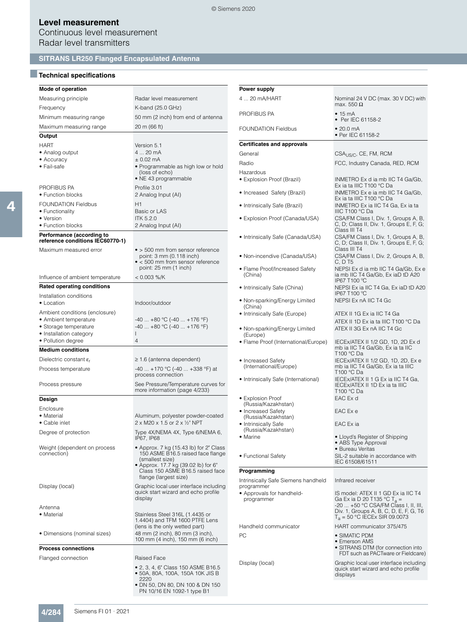Continuous level measurement Radar level transmitters

## **SITRANS LR250 Flanged Encapsulated Antenna**

### ■**Technical specifications**

**Design** Enclosure<br>• Material

connection)

| Power supply<br>4  20 mA/HART<br>Radar level measurement<br>Nominal 24 V DC (max. 30 V DC) with<br>max. 550 $\Omega$<br>K-band (25.0 GHz)<br>PROFIBUS PA<br>$\bullet$ 15 mA<br>50 mm (2 inch) from end of antenna<br>• Per IEC 61158-2<br>20 m (66 ft)<br><b>FOUNDATION Fieldbus</b><br>• 20.0 mA<br>• Per IEC 61158-2<br>Output<br><b>Certificates and approvals</b><br>Version 5.1<br>4  20 mA<br>• Analog output<br>General<br>CSA <sub>US/C</sub> , CE, FM, RCM<br>• Accuracy<br>$± 0.02$ mA<br>Radio<br>FCC, Industry Canada, RED, RCM<br>• Programmable as high low or hold<br>(loss of echo)<br>Hazardous<br>• NE 43 programmable<br>• Explosion Proof (Brazil)<br>INMETRO Ex d ia mb IIC T4 Ga/Gb,<br>Ex ia ta IIIC T100 °C Da<br>Profile 3.01<br>• Increased Safety (Brazil)<br>INMETRO Ex e ia mb IIC T4 Ga/Gb,<br>2 Analog Input (AI)<br>Ex ia ta IIIC T100 °C Da<br>H1<br>• Intrinsically Safe (Brazil)<br>INMETRO Ex ia IIC T4 Ga, Ex ia ta<br>• Functionality<br>Basic or LAS<br>IIIC T100 °C Da<br>• Version<br><b>ITK 5.2.0</b><br>• Explosion Proof (Canada/USA)<br>CSA/FM Class I, Div. 1, Groups A, B,<br>C, D; Class II, Div. 1, Groups E, F, G;<br>2 Analog Input (AI)<br>Class III T4<br>Performance (according to<br>CSA/FM Class I, Div. 1, Groups A, B,<br>• Intrinsically Safe (Canada/USA)<br>C, D; Class II, Div. 1, Groups E, F, G;<br>Class III T4<br>• > 500 mm from sensor reference<br>Maximum measured error<br>CSA/FM Class I, Div. 2, Groups A, B,<br>• Non-incendive (Canada/USA)<br>point: 3 mm (0.118 inch)<br>• < 500 mm from sensor reference<br>C, D T5<br>point: 25 mm (1 inch)<br>• Flame Proof/Increased Safety<br>NEPSI Ex d ia mb IIC T4 Ga/Gb, Ex e<br>(China)<br>ia mb IIC T4 Ga/Gb, Ex iaD tD A20<br>$< 0.003 %$ /K<br>IP67 T100 °C<br>• Intrinsically Safe (China)<br>NEPSI Ex ia IIC T4 Ga, Ex iaD tD A20<br>IP67 T100 °C<br>• Non-sparking/Energy Limited<br>NEPSI Ex nA IIC T4 Gc<br>Indoor/outdoor<br>(China)<br>• Intrinsically Safe (Europe)<br>ATEX II 1G Ex ia IIC T4 Ga<br>$-40+80$ °C ( $-40+176$ °F)<br>ATEX II 1D Ex ia ta IIIC T100 °C Da<br>$-40$ $+80$ °C ( $-40$ $+176$ °F)<br>• Storage temperature<br>• Non-sparking/Energy Limited<br>ATEX II 3G Ex nA IIC T4 Gc<br>• Installation category<br>L<br>(Europe)<br>4<br>• Flame Proof (International/Europe)<br>IECEx/ATEX II 1/2 GD, 1D, 2D Ex d<br>mb ia IIC T4 Ga/Gb, Ex ia ta IIC<br>T100 °C Da<br>$\geq$ 1.6 (antenna dependent)<br>• Increased Safety<br>IECEx/ATEX II 1/2 GD, 1D, 2D, Ex e<br>(International/Europe)<br>mb ia IIC T4 Ga/Gb, Ex ia ta IIIC<br>$-40$ $+170$ °C ( $-40$ $+338$ °F) at<br>T100 °C Da<br>process connection<br>• Intrinsically Safe (International)<br>IECEx/ATEX II 1 G Ex ia IIC T4 Ga,<br>See Pressure/Temperature curves for<br>IECEX/ATEX II 1D Ex ia ta IIIC<br>more information (page 4/233)<br>T100 °C Da<br>• Explosion Proof<br>EAC Ex d<br>(Russia/Kazakhstan)<br>• Increased Safety<br>EAC Ex e<br>• Material<br>Aluminum, polyester powder-coated<br>(Russia/Kazakhstan)<br>• Cable inlet<br>2 x M20 x 1.5 or 2 x 1/2" NPT<br>• Intrinsically Safe<br>EAC Ex ia<br>(Russia/Kazakhstan)<br>Degree of protection<br>Type 4X/NEMA 4X, Type 6/NEMA 6,<br>• Lloyd's Register of Shipping<br>• Marine<br>IP67, IP68<br>• ABS Type Approval<br>Weight (dependent on process<br>• Approx. 7 kg (15.43 lb) for 2" Class<br>• Bureau Veritas<br>150 ASME B16.5 raised face flange<br>• Functional Safety<br>SIL-2 suitable in accordance with<br>(smallest size)<br>IEC 61508/61511<br>• Approx. 17.7 kg (39.02 lb) for 6"<br>Class 150 ASME B16.5 raised face<br>Programming<br>flange (largest size)<br>Intrinsically Safe Siemens handheld<br>Infrared receiver<br>Graphic local user interface including<br>Display (local)<br>programmer<br>quick start wizard and echo profile<br>• Approvals for handheld-<br>IS model: ATEX II 1 GD Ex ia IIC T4<br>display<br>programmer<br>Ga Ex ia D 20 T135 °C T <sub>a</sub> =<br>-20  +50 °C CSA/FM Class I, II, III,<br>Antenna<br>Div. 1, Groups A, B, C, D, E, F, G, T6<br>Stainless Steel 316L (1.4435 or<br>$T_a = 50 °C$ IECEx SIR 09.0073<br>1.4404) and TFM 1600 PTFE Lens<br>Handheld communicator<br>HART communicator 375/475<br>(lens is the only wetted part)<br>48 mm (2 inch), 80 mm (3 inch),<br>• Dimensions (nominal sizes)<br>PC<br>• SIMATIC PDM<br>100 mm (4 inch), 150 mm (6 inch)<br>• Emerson AMS<br>• SITRANS DTM (for connection into<br><b>Process connections</b><br>FDT such as PACTware or Fieldcare)<br><b>Raised Face</b><br>Display (local)<br>Graphic local user interface including<br>• 2, 3, 4, 6" Class 150 ASME B16.5<br>quick start wizard and echo profile<br>• 50A, 80A, 100A, 150A 10K JIS B<br>displays<br>2220<br>• DN 50, DN 80, DN 100 & DN 150 |                                       |                            |  |
|------------------------------------------------------------------------------------------------------------------------------------------------------------------------------------------------------------------------------------------------------------------------------------------------------------------------------------------------------------------------------------------------------------------------------------------------------------------------------------------------------------------------------------------------------------------------------------------------------------------------------------------------------------------------------------------------------------------------------------------------------------------------------------------------------------------------------------------------------------------------------------------------------------------------------------------------------------------------------------------------------------------------------------------------------------------------------------------------------------------------------------------------------------------------------------------------------------------------------------------------------------------------------------------------------------------------------------------------------------------------------------------------------------------------------------------------------------------------------------------------------------------------------------------------------------------------------------------------------------------------------------------------------------------------------------------------------------------------------------------------------------------------------------------------------------------------------------------------------------------------------------------------------------------------------------------------------------------------------------------------------------------------------------------------------------------------------------------------------------------------------------------------------------------------------------------------------------------------------------------------------------------------------------------------------------------------------------------------------------------------------------------------------------------------------------------------------------------------------------------------------------------------------------------------------------------------------------------------------------------------------------------------------------------------------------------------------------------------------------------------------------------------------------------------------------------------------------------------------------------------------------------------------------------------------------------------------------------------------------------------------------------------------------------------------------------------------------------------------------------------------------------------------------------------------------------------------------------------------------------------------------------------------------------------------------------------------------------------------------------------------------------------------------------------------------------------------------------------------------------------------------------------------------------------------------------------------------------------------------------------------------------------------------------------------------------------------------------------------------------------------------------------------------------------------------------------------------------------------------------------------------------------------------------------------------------------------------------------------------------------------------------------------------------------------------------------------------------------------------------------------------------------------------------------------------------------------------------------------------------------------------------------------------------------------------------------------------------------------------------------------------------------------------------------------------------------------------------------------------------------------------------------------------------------------------------------------------------------------------------------------------------------------------------------------------------------------------------------------------------------------------------------------------------------------|---------------------------------------|----------------------------|--|
|                                                                                                                                                                                                                                                                                                                                                                                                                                                                                                                                                                                                                                                                                                                                                                                                                                                                                                                                                                                                                                                                                                                                                                                                                                                                                                                                                                                                                                                                                                                                                                                                                                                                                                                                                                                                                                                                                                                                                                                                                                                                                                                                                                                                                                                                                                                                                                                                                                                                                                                                                                                                                                                                                                                                                                                                                                                                                                                                                                                                                                                                                                                                                                                                                                                                                                                                                                                                                                                                                                                                                                                                                                                                                                                                                                                                                                                                                                                                                                                                                                                                                                                                                                                                                                                                                                                                                                                                                                                                                                                                                                                                                                                                                                                                                                                                      | Mode of operation                     |                            |  |
|                                                                                                                                                                                                                                                                                                                                                                                                                                                                                                                                                                                                                                                                                                                                                                                                                                                                                                                                                                                                                                                                                                                                                                                                                                                                                                                                                                                                                                                                                                                                                                                                                                                                                                                                                                                                                                                                                                                                                                                                                                                                                                                                                                                                                                                                                                                                                                                                                                                                                                                                                                                                                                                                                                                                                                                                                                                                                                                                                                                                                                                                                                                                                                                                                                                                                                                                                                                                                                                                                                                                                                                                                                                                                                                                                                                                                                                                                                                                                                                                                                                                                                                                                                                                                                                                                                                                                                                                                                                                                                                                                                                                                                                                                                                                                                                                      | Measuring principle                   |                            |  |
|                                                                                                                                                                                                                                                                                                                                                                                                                                                                                                                                                                                                                                                                                                                                                                                                                                                                                                                                                                                                                                                                                                                                                                                                                                                                                                                                                                                                                                                                                                                                                                                                                                                                                                                                                                                                                                                                                                                                                                                                                                                                                                                                                                                                                                                                                                                                                                                                                                                                                                                                                                                                                                                                                                                                                                                                                                                                                                                                                                                                                                                                                                                                                                                                                                                                                                                                                                                                                                                                                                                                                                                                                                                                                                                                                                                                                                                                                                                                                                                                                                                                                                                                                                                                                                                                                                                                                                                                                                                                                                                                                                                                                                                                                                                                                                                                      | Frequency                             |                            |  |
|                                                                                                                                                                                                                                                                                                                                                                                                                                                                                                                                                                                                                                                                                                                                                                                                                                                                                                                                                                                                                                                                                                                                                                                                                                                                                                                                                                                                                                                                                                                                                                                                                                                                                                                                                                                                                                                                                                                                                                                                                                                                                                                                                                                                                                                                                                                                                                                                                                                                                                                                                                                                                                                                                                                                                                                                                                                                                                                                                                                                                                                                                                                                                                                                                                                                                                                                                                                                                                                                                                                                                                                                                                                                                                                                                                                                                                                                                                                                                                                                                                                                                                                                                                                                                                                                                                                                                                                                                                                                                                                                                                                                                                                                                                                                                                                                      | Minimum measuring range               |                            |  |
|                                                                                                                                                                                                                                                                                                                                                                                                                                                                                                                                                                                                                                                                                                                                                                                                                                                                                                                                                                                                                                                                                                                                                                                                                                                                                                                                                                                                                                                                                                                                                                                                                                                                                                                                                                                                                                                                                                                                                                                                                                                                                                                                                                                                                                                                                                                                                                                                                                                                                                                                                                                                                                                                                                                                                                                                                                                                                                                                                                                                                                                                                                                                                                                                                                                                                                                                                                                                                                                                                                                                                                                                                                                                                                                                                                                                                                                                                                                                                                                                                                                                                                                                                                                                                                                                                                                                                                                                                                                                                                                                                                                                                                                                                                                                                                                                      | Maximum measuring range               |                            |  |
|                                                                                                                                                                                                                                                                                                                                                                                                                                                                                                                                                                                                                                                                                                                                                                                                                                                                                                                                                                                                                                                                                                                                                                                                                                                                                                                                                                                                                                                                                                                                                                                                                                                                                                                                                                                                                                                                                                                                                                                                                                                                                                                                                                                                                                                                                                                                                                                                                                                                                                                                                                                                                                                                                                                                                                                                                                                                                                                                                                                                                                                                                                                                                                                                                                                                                                                                                                                                                                                                                                                                                                                                                                                                                                                                                                                                                                                                                                                                                                                                                                                                                                                                                                                                                                                                                                                                                                                                                                                                                                                                                                                                                                                                                                                                                                                                      |                                       |                            |  |
|                                                                                                                                                                                                                                                                                                                                                                                                                                                                                                                                                                                                                                                                                                                                                                                                                                                                                                                                                                                                                                                                                                                                                                                                                                                                                                                                                                                                                                                                                                                                                                                                                                                                                                                                                                                                                                                                                                                                                                                                                                                                                                                                                                                                                                                                                                                                                                                                                                                                                                                                                                                                                                                                                                                                                                                                                                                                                                                                                                                                                                                                                                                                                                                                                                                                                                                                                                                                                                                                                                                                                                                                                                                                                                                                                                                                                                                                                                                                                                                                                                                                                                                                                                                                                                                                                                                                                                                                                                                                                                                                                                                                                                                                                                                                                                                                      | HART                                  |                            |  |
|                                                                                                                                                                                                                                                                                                                                                                                                                                                                                                                                                                                                                                                                                                                                                                                                                                                                                                                                                                                                                                                                                                                                                                                                                                                                                                                                                                                                                                                                                                                                                                                                                                                                                                                                                                                                                                                                                                                                                                                                                                                                                                                                                                                                                                                                                                                                                                                                                                                                                                                                                                                                                                                                                                                                                                                                                                                                                                                                                                                                                                                                                                                                                                                                                                                                                                                                                                                                                                                                                                                                                                                                                                                                                                                                                                                                                                                                                                                                                                                                                                                                                                                                                                                                                                                                                                                                                                                                                                                                                                                                                                                                                                                                                                                                                                                                      |                                       |                            |  |
|                                                                                                                                                                                                                                                                                                                                                                                                                                                                                                                                                                                                                                                                                                                                                                                                                                                                                                                                                                                                                                                                                                                                                                                                                                                                                                                                                                                                                                                                                                                                                                                                                                                                                                                                                                                                                                                                                                                                                                                                                                                                                                                                                                                                                                                                                                                                                                                                                                                                                                                                                                                                                                                                                                                                                                                                                                                                                                                                                                                                                                                                                                                                                                                                                                                                                                                                                                                                                                                                                                                                                                                                                                                                                                                                                                                                                                                                                                                                                                                                                                                                                                                                                                                                                                                                                                                                                                                                                                                                                                                                                                                                                                                                                                                                                                                                      | • Fail-safe                           |                            |  |
|                                                                                                                                                                                                                                                                                                                                                                                                                                                                                                                                                                                                                                                                                                                                                                                                                                                                                                                                                                                                                                                                                                                                                                                                                                                                                                                                                                                                                                                                                                                                                                                                                                                                                                                                                                                                                                                                                                                                                                                                                                                                                                                                                                                                                                                                                                                                                                                                                                                                                                                                                                                                                                                                                                                                                                                                                                                                                                                                                                                                                                                                                                                                                                                                                                                                                                                                                                                                                                                                                                                                                                                                                                                                                                                                                                                                                                                                                                                                                                                                                                                                                                                                                                                                                                                                                                                                                                                                                                                                                                                                                                                                                                                                                                                                                                                                      |                                       |                            |  |
|                                                                                                                                                                                                                                                                                                                                                                                                                                                                                                                                                                                                                                                                                                                                                                                                                                                                                                                                                                                                                                                                                                                                                                                                                                                                                                                                                                                                                                                                                                                                                                                                                                                                                                                                                                                                                                                                                                                                                                                                                                                                                                                                                                                                                                                                                                                                                                                                                                                                                                                                                                                                                                                                                                                                                                                                                                                                                                                                                                                                                                                                                                                                                                                                                                                                                                                                                                                                                                                                                                                                                                                                                                                                                                                                                                                                                                                                                                                                                                                                                                                                                                                                                                                                                                                                                                                                                                                                                                                                                                                                                                                                                                                                                                                                                                                                      | PROFIBUS PA<br>• Function blocks      |                            |  |
|                                                                                                                                                                                                                                                                                                                                                                                                                                                                                                                                                                                                                                                                                                                                                                                                                                                                                                                                                                                                                                                                                                                                                                                                                                                                                                                                                                                                                                                                                                                                                                                                                                                                                                                                                                                                                                                                                                                                                                                                                                                                                                                                                                                                                                                                                                                                                                                                                                                                                                                                                                                                                                                                                                                                                                                                                                                                                                                                                                                                                                                                                                                                                                                                                                                                                                                                                                                                                                                                                                                                                                                                                                                                                                                                                                                                                                                                                                                                                                                                                                                                                                                                                                                                                                                                                                                                                                                                                                                                                                                                                                                                                                                                                                                                                                                                      | FOUNDATION Fieldbus                   |                            |  |
|                                                                                                                                                                                                                                                                                                                                                                                                                                                                                                                                                                                                                                                                                                                                                                                                                                                                                                                                                                                                                                                                                                                                                                                                                                                                                                                                                                                                                                                                                                                                                                                                                                                                                                                                                                                                                                                                                                                                                                                                                                                                                                                                                                                                                                                                                                                                                                                                                                                                                                                                                                                                                                                                                                                                                                                                                                                                                                                                                                                                                                                                                                                                                                                                                                                                                                                                                                                                                                                                                                                                                                                                                                                                                                                                                                                                                                                                                                                                                                                                                                                                                                                                                                                                                                                                                                                                                                                                                                                                                                                                                                                                                                                                                                                                                                                                      |                                       |                            |  |
|                                                                                                                                                                                                                                                                                                                                                                                                                                                                                                                                                                                                                                                                                                                                                                                                                                                                                                                                                                                                                                                                                                                                                                                                                                                                                                                                                                                                                                                                                                                                                                                                                                                                                                                                                                                                                                                                                                                                                                                                                                                                                                                                                                                                                                                                                                                                                                                                                                                                                                                                                                                                                                                                                                                                                                                                                                                                                                                                                                                                                                                                                                                                                                                                                                                                                                                                                                                                                                                                                                                                                                                                                                                                                                                                                                                                                                                                                                                                                                                                                                                                                                                                                                                                                                                                                                                                                                                                                                                                                                                                                                                                                                                                                                                                                                                                      | • Function blocks                     |                            |  |
|                                                                                                                                                                                                                                                                                                                                                                                                                                                                                                                                                                                                                                                                                                                                                                                                                                                                                                                                                                                                                                                                                                                                                                                                                                                                                                                                                                                                                                                                                                                                                                                                                                                                                                                                                                                                                                                                                                                                                                                                                                                                                                                                                                                                                                                                                                                                                                                                                                                                                                                                                                                                                                                                                                                                                                                                                                                                                                                                                                                                                                                                                                                                                                                                                                                                                                                                                                                                                                                                                                                                                                                                                                                                                                                                                                                                                                                                                                                                                                                                                                                                                                                                                                                                                                                                                                                                                                                                                                                                                                                                                                                                                                                                                                                                                                                                      | reference conditions IEC60770-1)      |                            |  |
|                                                                                                                                                                                                                                                                                                                                                                                                                                                                                                                                                                                                                                                                                                                                                                                                                                                                                                                                                                                                                                                                                                                                                                                                                                                                                                                                                                                                                                                                                                                                                                                                                                                                                                                                                                                                                                                                                                                                                                                                                                                                                                                                                                                                                                                                                                                                                                                                                                                                                                                                                                                                                                                                                                                                                                                                                                                                                                                                                                                                                                                                                                                                                                                                                                                                                                                                                                                                                                                                                                                                                                                                                                                                                                                                                                                                                                                                                                                                                                                                                                                                                                                                                                                                                                                                                                                                                                                                                                                                                                                                                                                                                                                                                                                                                                                                      |                                       |                            |  |
|                                                                                                                                                                                                                                                                                                                                                                                                                                                                                                                                                                                                                                                                                                                                                                                                                                                                                                                                                                                                                                                                                                                                                                                                                                                                                                                                                                                                                                                                                                                                                                                                                                                                                                                                                                                                                                                                                                                                                                                                                                                                                                                                                                                                                                                                                                                                                                                                                                                                                                                                                                                                                                                                                                                                                                                                                                                                                                                                                                                                                                                                                                                                                                                                                                                                                                                                                                                                                                                                                                                                                                                                                                                                                                                                                                                                                                                                                                                                                                                                                                                                                                                                                                                                                                                                                                                                                                                                                                                                                                                                                                                                                                                                                                                                                                                                      | Influence of ambient temperature      |                            |  |
|                                                                                                                                                                                                                                                                                                                                                                                                                                                                                                                                                                                                                                                                                                                                                                                                                                                                                                                                                                                                                                                                                                                                                                                                                                                                                                                                                                                                                                                                                                                                                                                                                                                                                                                                                                                                                                                                                                                                                                                                                                                                                                                                                                                                                                                                                                                                                                                                                                                                                                                                                                                                                                                                                                                                                                                                                                                                                                                                                                                                                                                                                                                                                                                                                                                                                                                                                                                                                                                                                                                                                                                                                                                                                                                                                                                                                                                                                                                                                                                                                                                                                                                                                                                                                                                                                                                                                                                                                                                                                                                                                                                                                                                                                                                                                                                                      | <b>Rated operating conditions</b>     |                            |  |
|                                                                                                                                                                                                                                                                                                                                                                                                                                                                                                                                                                                                                                                                                                                                                                                                                                                                                                                                                                                                                                                                                                                                                                                                                                                                                                                                                                                                                                                                                                                                                                                                                                                                                                                                                                                                                                                                                                                                                                                                                                                                                                                                                                                                                                                                                                                                                                                                                                                                                                                                                                                                                                                                                                                                                                                                                                                                                                                                                                                                                                                                                                                                                                                                                                                                                                                                                                                                                                                                                                                                                                                                                                                                                                                                                                                                                                                                                                                                                                                                                                                                                                                                                                                                                                                                                                                                                                                                                                                                                                                                                                                                                                                                                                                                                                                                      | Installation conditions<br>• Location |                            |  |
|                                                                                                                                                                                                                                                                                                                                                                                                                                                                                                                                                                                                                                                                                                                                                                                                                                                                                                                                                                                                                                                                                                                                                                                                                                                                                                                                                                                                                                                                                                                                                                                                                                                                                                                                                                                                                                                                                                                                                                                                                                                                                                                                                                                                                                                                                                                                                                                                                                                                                                                                                                                                                                                                                                                                                                                                                                                                                                                                                                                                                                                                                                                                                                                                                                                                                                                                                                                                                                                                                                                                                                                                                                                                                                                                                                                                                                                                                                                                                                                                                                                                                                                                                                                                                                                                                                                                                                                                                                                                                                                                                                                                                                                                                                                                                                                                      | Ambient conditions (enclosure)        |                            |  |
|                                                                                                                                                                                                                                                                                                                                                                                                                                                                                                                                                                                                                                                                                                                                                                                                                                                                                                                                                                                                                                                                                                                                                                                                                                                                                                                                                                                                                                                                                                                                                                                                                                                                                                                                                                                                                                                                                                                                                                                                                                                                                                                                                                                                                                                                                                                                                                                                                                                                                                                                                                                                                                                                                                                                                                                                                                                                                                                                                                                                                                                                                                                                                                                                                                                                                                                                                                                                                                                                                                                                                                                                                                                                                                                                                                                                                                                                                                                                                                                                                                                                                                                                                                                                                                                                                                                                                                                                                                                                                                                                                                                                                                                                                                                                                                                                      | • Ambient temperature                 |                            |  |
|                                                                                                                                                                                                                                                                                                                                                                                                                                                                                                                                                                                                                                                                                                                                                                                                                                                                                                                                                                                                                                                                                                                                                                                                                                                                                                                                                                                                                                                                                                                                                                                                                                                                                                                                                                                                                                                                                                                                                                                                                                                                                                                                                                                                                                                                                                                                                                                                                                                                                                                                                                                                                                                                                                                                                                                                                                                                                                                                                                                                                                                                                                                                                                                                                                                                                                                                                                                                                                                                                                                                                                                                                                                                                                                                                                                                                                                                                                                                                                                                                                                                                                                                                                                                                                                                                                                                                                                                                                                                                                                                                                                                                                                                                                                                                                                                      |                                       |                            |  |
|                                                                                                                                                                                                                                                                                                                                                                                                                                                                                                                                                                                                                                                                                                                                                                                                                                                                                                                                                                                                                                                                                                                                                                                                                                                                                                                                                                                                                                                                                                                                                                                                                                                                                                                                                                                                                                                                                                                                                                                                                                                                                                                                                                                                                                                                                                                                                                                                                                                                                                                                                                                                                                                                                                                                                                                                                                                                                                                                                                                                                                                                                                                                                                                                                                                                                                                                                                                                                                                                                                                                                                                                                                                                                                                                                                                                                                                                                                                                                                                                                                                                                                                                                                                                                                                                                                                                                                                                                                                                                                                                                                                                                                                                                                                                                                                                      | • Pollution degree                    |                            |  |
|                                                                                                                                                                                                                                                                                                                                                                                                                                                                                                                                                                                                                                                                                                                                                                                                                                                                                                                                                                                                                                                                                                                                                                                                                                                                                                                                                                                                                                                                                                                                                                                                                                                                                                                                                                                                                                                                                                                                                                                                                                                                                                                                                                                                                                                                                                                                                                                                                                                                                                                                                                                                                                                                                                                                                                                                                                                                                                                                                                                                                                                                                                                                                                                                                                                                                                                                                                                                                                                                                                                                                                                                                                                                                                                                                                                                                                                                                                                                                                                                                                                                                                                                                                                                                                                                                                                                                                                                                                                                                                                                                                                                                                                                                                                                                                                                      | <b>Medium conditions</b>              |                            |  |
|                                                                                                                                                                                                                                                                                                                                                                                                                                                                                                                                                                                                                                                                                                                                                                                                                                                                                                                                                                                                                                                                                                                                                                                                                                                                                                                                                                                                                                                                                                                                                                                                                                                                                                                                                                                                                                                                                                                                                                                                                                                                                                                                                                                                                                                                                                                                                                                                                                                                                                                                                                                                                                                                                                                                                                                                                                                                                                                                                                                                                                                                                                                                                                                                                                                                                                                                                                                                                                                                                                                                                                                                                                                                                                                                                                                                                                                                                                                                                                                                                                                                                                                                                                                                                                                                                                                                                                                                                                                                                                                                                                                                                                                                                                                                                                                                      | Dielectric constant $\varepsilon_{r}$ |                            |  |
|                                                                                                                                                                                                                                                                                                                                                                                                                                                                                                                                                                                                                                                                                                                                                                                                                                                                                                                                                                                                                                                                                                                                                                                                                                                                                                                                                                                                                                                                                                                                                                                                                                                                                                                                                                                                                                                                                                                                                                                                                                                                                                                                                                                                                                                                                                                                                                                                                                                                                                                                                                                                                                                                                                                                                                                                                                                                                                                                                                                                                                                                                                                                                                                                                                                                                                                                                                                                                                                                                                                                                                                                                                                                                                                                                                                                                                                                                                                                                                                                                                                                                                                                                                                                                                                                                                                                                                                                                                                                                                                                                                                                                                                                                                                                                                                                      | Process temperature                   |                            |  |
|                                                                                                                                                                                                                                                                                                                                                                                                                                                                                                                                                                                                                                                                                                                                                                                                                                                                                                                                                                                                                                                                                                                                                                                                                                                                                                                                                                                                                                                                                                                                                                                                                                                                                                                                                                                                                                                                                                                                                                                                                                                                                                                                                                                                                                                                                                                                                                                                                                                                                                                                                                                                                                                                                                                                                                                                                                                                                                                                                                                                                                                                                                                                                                                                                                                                                                                                                                                                                                                                                                                                                                                                                                                                                                                                                                                                                                                                                                                                                                                                                                                                                                                                                                                                                                                                                                                                                                                                                                                                                                                                                                                                                                                                                                                                                                                                      | Process pressure                      |                            |  |
|                                                                                                                                                                                                                                                                                                                                                                                                                                                                                                                                                                                                                                                                                                                                                                                                                                                                                                                                                                                                                                                                                                                                                                                                                                                                                                                                                                                                                                                                                                                                                                                                                                                                                                                                                                                                                                                                                                                                                                                                                                                                                                                                                                                                                                                                                                                                                                                                                                                                                                                                                                                                                                                                                                                                                                                                                                                                                                                                                                                                                                                                                                                                                                                                                                                                                                                                                                                                                                                                                                                                                                                                                                                                                                                                                                                                                                                                                                                                                                                                                                                                                                                                                                                                                                                                                                                                                                                                                                                                                                                                                                                                                                                                                                                                                                                                      | Design                                |                            |  |
|                                                                                                                                                                                                                                                                                                                                                                                                                                                                                                                                                                                                                                                                                                                                                                                                                                                                                                                                                                                                                                                                                                                                                                                                                                                                                                                                                                                                                                                                                                                                                                                                                                                                                                                                                                                                                                                                                                                                                                                                                                                                                                                                                                                                                                                                                                                                                                                                                                                                                                                                                                                                                                                                                                                                                                                                                                                                                                                                                                                                                                                                                                                                                                                                                                                                                                                                                                                                                                                                                                                                                                                                                                                                                                                                                                                                                                                                                                                                                                                                                                                                                                                                                                                                                                                                                                                                                                                                                                                                                                                                                                                                                                                                                                                                                                                                      | Enclosure                             |                            |  |
|                                                                                                                                                                                                                                                                                                                                                                                                                                                                                                                                                                                                                                                                                                                                                                                                                                                                                                                                                                                                                                                                                                                                                                                                                                                                                                                                                                                                                                                                                                                                                                                                                                                                                                                                                                                                                                                                                                                                                                                                                                                                                                                                                                                                                                                                                                                                                                                                                                                                                                                                                                                                                                                                                                                                                                                                                                                                                                                                                                                                                                                                                                                                                                                                                                                                                                                                                                                                                                                                                                                                                                                                                                                                                                                                                                                                                                                                                                                                                                                                                                                                                                                                                                                                                                                                                                                                                                                                                                                                                                                                                                                                                                                                                                                                                                                                      |                                       |                            |  |
|                                                                                                                                                                                                                                                                                                                                                                                                                                                                                                                                                                                                                                                                                                                                                                                                                                                                                                                                                                                                                                                                                                                                                                                                                                                                                                                                                                                                                                                                                                                                                                                                                                                                                                                                                                                                                                                                                                                                                                                                                                                                                                                                                                                                                                                                                                                                                                                                                                                                                                                                                                                                                                                                                                                                                                                                                                                                                                                                                                                                                                                                                                                                                                                                                                                                                                                                                                                                                                                                                                                                                                                                                                                                                                                                                                                                                                                                                                                                                                                                                                                                                                                                                                                                                                                                                                                                                                                                                                                                                                                                                                                                                                                                                                                                                                                                      |                                       |                            |  |
|                                                                                                                                                                                                                                                                                                                                                                                                                                                                                                                                                                                                                                                                                                                                                                                                                                                                                                                                                                                                                                                                                                                                                                                                                                                                                                                                                                                                                                                                                                                                                                                                                                                                                                                                                                                                                                                                                                                                                                                                                                                                                                                                                                                                                                                                                                                                                                                                                                                                                                                                                                                                                                                                                                                                                                                                                                                                                                                                                                                                                                                                                                                                                                                                                                                                                                                                                                                                                                                                                                                                                                                                                                                                                                                                                                                                                                                                                                                                                                                                                                                                                                                                                                                                                                                                                                                                                                                                                                                                                                                                                                                                                                                                                                                                                                                                      |                                       |                            |  |
|                                                                                                                                                                                                                                                                                                                                                                                                                                                                                                                                                                                                                                                                                                                                                                                                                                                                                                                                                                                                                                                                                                                                                                                                                                                                                                                                                                                                                                                                                                                                                                                                                                                                                                                                                                                                                                                                                                                                                                                                                                                                                                                                                                                                                                                                                                                                                                                                                                                                                                                                                                                                                                                                                                                                                                                                                                                                                                                                                                                                                                                                                                                                                                                                                                                                                                                                                                                                                                                                                                                                                                                                                                                                                                                                                                                                                                                                                                                                                                                                                                                                                                                                                                                                                                                                                                                                                                                                                                                                                                                                                                                                                                                                                                                                                                                                      | connection)                           |                            |  |
|                                                                                                                                                                                                                                                                                                                                                                                                                                                                                                                                                                                                                                                                                                                                                                                                                                                                                                                                                                                                                                                                                                                                                                                                                                                                                                                                                                                                                                                                                                                                                                                                                                                                                                                                                                                                                                                                                                                                                                                                                                                                                                                                                                                                                                                                                                                                                                                                                                                                                                                                                                                                                                                                                                                                                                                                                                                                                                                                                                                                                                                                                                                                                                                                                                                                                                                                                                                                                                                                                                                                                                                                                                                                                                                                                                                                                                                                                                                                                                                                                                                                                                                                                                                                                                                                                                                                                                                                                                                                                                                                                                                                                                                                                                                                                                                                      |                                       |                            |  |
|                                                                                                                                                                                                                                                                                                                                                                                                                                                                                                                                                                                                                                                                                                                                                                                                                                                                                                                                                                                                                                                                                                                                                                                                                                                                                                                                                                                                                                                                                                                                                                                                                                                                                                                                                                                                                                                                                                                                                                                                                                                                                                                                                                                                                                                                                                                                                                                                                                                                                                                                                                                                                                                                                                                                                                                                                                                                                                                                                                                                                                                                                                                                                                                                                                                                                                                                                                                                                                                                                                                                                                                                                                                                                                                                                                                                                                                                                                                                                                                                                                                                                                                                                                                                                                                                                                                                                                                                                                                                                                                                                                                                                                                                                                                                                                                                      |                                       |                            |  |
|                                                                                                                                                                                                                                                                                                                                                                                                                                                                                                                                                                                                                                                                                                                                                                                                                                                                                                                                                                                                                                                                                                                                                                                                                                                                                                                                                                                                                                                                                                                                                                                                                                                                                                                                                                                                                                                                                                                                                                                                                                                                                                                                                                                                                                                                                                                                                                                                                                                                                                                                                                                                                                                                                                                                                                                                                                                                                                                                                                                                                                                                                                                                                                                                                                                                                                                                                                                                                                                                                                                                                                                                                                                                                                                                                                                                                                                                                                                                                                                                                                                                                                                                                                                                                                                                                                                                                                                                                                                                                                                                                                                                                                                                                                                                                                                                      |                                       |                            |  |
|                                                                                                                                                                                                                                                                                                                                                                                                                                                                                                                                                                                                                                                                                                                                                                                                                                                                                                                                                                                                                                                                                                                                                                                                                                                                                                                                                                                                                                                                                                                                                                                                                                                                                                                                                                                                                                                                                                                                                                                                                                                                                                                                                                                                                                                                                                                                                                                                                                                                                                                                                                                                                                                                                                                                                                                                                                                                                                                                                                                                                                                                                                                                                                                                                                                                                                                                                                                                                                                                                                                                                                                                                                                                                                                                                                                                                                                                                                                                                                                                                                                                                                                                                                                                                                                                                                                                                                                                                                                                                                                                                                                                                                                                                                                                                                                                      |                                       |                            |  |
|                                                                                                                                                                                                                                                                                                                                                                                                                                                                                                                                                                                                                                                                                                                                                                                                                                                                                                                                                                                                                                                                                                                                                                                                                                                                                                                                                                                                                                                                                                                                                                                                                                                                                                                                                                                                                                                                                                                                                                                                                                                                                                                                                                                                                                                                                                                                                                                                                                                                                                                                                                                                                                                                                                                                                                                                                                                                                                                                                                                                                                                                                                                                                                                                                                                                                                                                                                                                                                                                                                                                                                                                                                                                                                                                                                                                                                                                                                                                                                                                                                                                                                                                                                                                                                                                                                                                                                                                                                                                                                                                                                                                                                                                                                                                                                                                      |                                       |                            |  |
|                                                                                                                                                                                                                                                                                                                                                                                                                                                                                                                                                                                                                                                                                                                                                                                                                                                                                                                                                                                                                                                                                                                                                                                                                                                                                                                                                                                                                                                                                                                                                                                                                                                                                                                                                                                                                                                                                                                                                                                                                                                                                                                                                                                                                                                                                                                                                                                                                                                                                                                                                                                                                                                                                                                                                                                                                                                                                                                                                                                                                                                                                                                                                                                                                                                                                                                                                                                                                                                                                                                                                                                                                                                                                                                                                                                                                                                                                                                                                                                                                                                                                                                                                                                                                                                                                                                                                                                                                                                                                                                                                                                                                                                                                                                                                                                                      | • Material                            |                            |  |
|                                                                                                                                                                                                                                                                                                                                                                                                                                                                                                                                                                                                                                                                                                                                                                                                                                                                                                                                                                                                                                                                                                                                                                                                                                                                                                                                                                                                                                                                                                                                                                                                                                                                                                                                                                                                                                                                                                                                                                                                                                                                                                                                                                                                                                                                                                                                                                                                                                                                                                                                                                                                                                                                                                                                                                                                                                                                                                                                                                                                                                                                                                                                                                                                                                                                                                                                                                                                                                                                                                                                                                                                                                                                                                                                                                                                                                                                                                                                                                                                                                                                                                                                                                                                                                                                                                                                                                                                                                                                                                                                                                                                                                                                                                                                                                                                      |                                       |                            |  |
|                                                                                                                                                                                                                                                                                                                                                                                                                                                                                                                                                                                                                                                                                                                                                                                                                                                                                                                                                                                                                                                                                                                                                                                                                                                                                                                                                                                                                                                                                                                                                                                                                                                                                                                                                                                                                                                                                                                                                                                                                                                                                                                                                                                                                                                                                                                                                                                                                                                                                                                                                                                                                                                                                                                                                                                                                                                                                                                                                                                                                                                                                                                                                                                                                                                                                                                                                                                                                                                                                                                                                                                                                                                                                                                                                                                                                                                                                                                                                                                                                                                                                                                                                                                                                                                                                                                                                                                                                                                                                                                                                                                                                                                                                                                                                                                                      |                                       |                            |  |
|                                                                                                                                                                                                                                                                                                                                                                                                                                                                                                                                                                                                                                                                                                                                                                                                                                                                                                                                                                                                                                                                                                                                                                                                                                                                                                                                                                                                                                                                                                                                                                                                                                                                                                                                                                                                                                                                                                                                                                                                                                                                                                                                                                                                                                                                                                                                                                                                                                                                                                                                                                                                                                                                                                                                                                                                                                                                                                                                                                                                                                                                                                                                                                                                                                                                                                                                                                                                                                                                                                                                                                                                                                                                                                                                                                                                                                                                                                                                                                                                                                                                                                                                                                                                                                                                                                                                                                                                                                                                                                                                                                                                                                                                                                                                                                                                      |                                       |                            |  |
|                                                                                                                                                                                                                                                                                                                                                                                                                                                                                                                                                                                                                                                                                                                                                                                                                                                                                                                                                                                                                                                                                                                                                                                                                                                                                                                                                                                                                                                                                                                                                                                                                                                                                                                                                                                                                                                                                                                                                                                                                                                                                                                                                                                                                                                                                                                                                                                                                                                                                                                                                                                                                                                                                                                                                                                                                                                                                                                                                                                                                                                                                                                                                                                                                                                                                                                                                                                                                                                                                                                                                                                                                                                                                                                                                                                                                                                                                                                                                                                                                                                                                                                                                                                                                                                                                                                                                                                                                                                                                                                                                                                                                                                                                                                                                                                                      | Flanged connection                    |                            |  |
|                                                                                                                                                                                                                                                                                                                                                                                                                                                                                                                                                                                                                                                                                                                                                                                                                                                                                                                                                                                                                                                                                                                                                                                                                                                                                                                                                                                                                                                                                                                                                                                                                                                                                                                                                                                                                                                                                                                                                                                                                                                                                                                                                                                                                                                                                                                                                                                                                                                                                                                                                                                                                                                                                                                                                                                                                                                                                                                                                                                                                                                                                                                                                                                                                                                                                                                                                                                                                                                                                                                                                                                                                                                                                                                                                                                                                                                                                                                                                                                                                                                                                                                                                                                                                                                                                                                                                                                                                                                                                                                                                                                                                                                                                                                                                                                                      |                                       | PN 10/16 EN 1092-1 type B1 |  |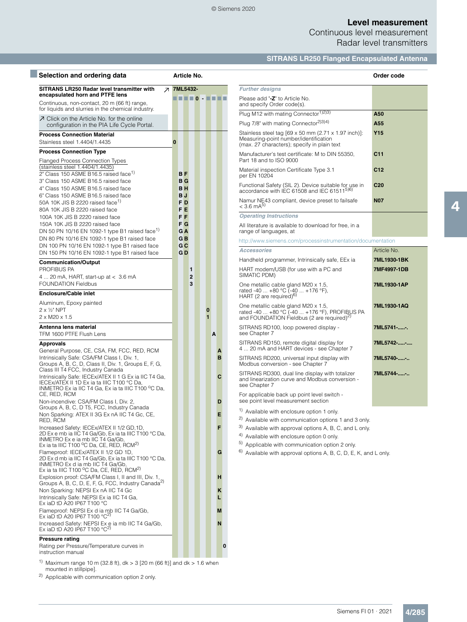Continuous level measurement Radar level transmitters

**SITRANS LR250 Flanged Encapsulated Antenna**

| Selection and ordering data                                                                                                                                                               | Article No.                          |                     |                          |   |        |                                                                                                                                                | Order code      |
|-------------------------------------------------------------------------------------------------------------------------------------------------------------------------------------------|--------------------------------------|---------------------|--------------------------|---|--------|------------------------------------------------------------------------------------------------------------------------------------------------|-----------------|
| SITRANS LR250 Radar level transmitter with                                                                                                                                                | 7ML5432-<br>$\overline{\phantom{a}}$ |                     |                          |   |        | <b>Further designs</b>                                                                                                                         |                 |
| encapsulated horn and PTFE lens<br>Continuous, non-contact, 20 m (66 ft) range,                                                                                                           | <b>HELO - HELL</b>                   |                     |                          |   |        | Please add "-Z" to Article No.<br>and specify Order code(s).                                                                                   |                 |
| for liquids and slurries in the chemical industry.                                                                                                                                        |                                      |                     |                          |   |        | Plug M12 with mating Connector <sup>1)2)3)</sup>                                                                                               | A50             |
| ○ Click on the Article No. for the online<br>configuration in the PIA Life Cycle Portal.                                                                                                  |                                      |                     |                          |   |        | Plug 7/8" with mating Connector <sup>2)3)4)</sup>                                                                                              | A55             |
| <b>Process Connection Material</b><br>Stainless steel 1.4404/1.4435                                                                                                                       | $\bf{0}$                             |                     |                          |   |        | Stainless steel tag [69 x 50 mm (2.71 x 1.97 inch)]:<br>Measuring-point number/identification<br>(max. 27 characters); specify in plain text   | Y <sub>15</sub> |
| <b>Process Connection Type</b><br><b>Flanged Process Connection Types</b>                                                                                                                 |                                      |                     |                          |   |        | Manufacturer's test certificate: M to DIN 55350,<br>Part 18 and to ISO 9000                                                                    | C11             |
| (stainless steel 1.4404/1.4435)<br>2" Class 150 ASME B16.5 raised face <sup>1)</sup>                                                                                                      | <b>BF</b>                            |                     |                          |   |        | Material inspection Certificate Type 3.1<br>per EN 10204                                                                                       | C12             |
| 3" Class 150 ASME B16.5 raised face<br>4" Class 150 ASME B16.5 raised face                                                                                                                | $B$ $G$<br><b>BH</b>                 |                     |                          |   |        | Functional Safety (SIL 2). Device suitable for use in<br>accordance with IEC 61508 and IEC 61511 <sup>5)6)</sup>                               | C <sub>20</sub> |
| 6" Class 150 ASME B16.5 raised face<br>50A 10K JIS B 2220 raised face <sup>1)</sup>                                                                                                       | B J<br>F <sub>D</sub>                |                     |                          |   |        | Namur NE43 compliant, device preset to failsafe                                                                                                | <b>N07</b>      |
| 80A 10K JIS B 2220 raised face                                                                                                                                                            | F E                                  |                     |                          |   |        | $< 3.6 \text{ mA}^{5}$                                                                                                                         |                 |
| 100A 10K JIS B 2220 raised face                                                                                                                                                           | F F                                  |                     |                          |   |        | <b>Operating Instructions</b>                                                                                                                  |                 |
| 150A 10K JIS B 2220 raised face<br>DN 50 PN 10/16 EN 1092-1 type B1 raised face <sup>1)</sup>                                                                                             | F <sub>G</sub><br>G <sub>A</sub>     |                     |                          |   |        | All literature is available to download for free, in a<br>range of languages, at                                                               |                 |
| DN 80 PN 10/16 EN 1092-1 type B1 raised face                                                                                                                                              | G <sub>B</sub><br>G C                |                     |                          |   |        | http://www.siemens.com/processinstrumentation/documentation                                                                                    |                 |
| DN 100 PN 10/16 EN 1092-1 type B1 raised face<br>DN 150 PN 10/16 EN 1092-1 type B1 raised face                                                                                            | GD                                   |                     |                          |   |        | <b>Accessories</b>                                                                                                                             | Article No.     |
| <b>Communication/Output</b>                                                                                                                                                               |                                      |                     |                          |   |        | Handheld programmer, Intrinsically safe, EEx ia                                                                                                | 7ML1930-1BK     |
| PROFIBUS PA<br>4  20 mA, HART, start-up at $< 3.6$ mA                                                                                                                                     |                                      | 1<br>$\overline{2}$ |                          |   |        | HART modem/USB (for use with a PC and<br>SIMATIC PDM)                                                                                          | 7MF4997-1DB     |
| <b>FOUNDATION Fieldbus</b><br><b>Enclosure/Cable inlet</b>                                                                                                                                |                                      | 3                   |                          |   |        | One metallic cable gland M20 x 1.5,<br>rated -40  +80 °C (-40  +176 °F),                                                                       | 7ML1930-1AP     |
| Aluminum, Epoxy painted                                                                                                                                                                   |                                      |                     |                          |   |        | HART (2 are required) <sup>b)</sup>                                                                                                            |                 |
| $2 \times \frac{1}{2}$ " NPT<br>$2 \times M20 \times 1.5$                                                                                                                                 |                                      |                     | $\bf{0}$<br>$\mathbf{1}$ |   |        | One metallic cable gland M20 x 1.5,<br>rated -40  +80 °C (-40  +176 °F), PROFIBUS PA<br>and FOUNDATION Fieldbus (2 are required) <sup>2)</sup> | 7ML1930-1AQ     |
| Antenna lens material<br>TFM 1600 PTFE Flush Lens                                                                                                                                         |                                      |                     |                          | A |        | SITRANS RD100, loop powered display -<br>see Chapter 7                                                                                         | 7ML5741--.      |
| <b>Approvals</b>                                                                                                                                                                          |                                      |                     |                          |   |        | SITRANS RD150, remote digital display for<br>4  20 mA and HART devices - see Chapter 7                                                         | 7ML5742--       |
| General Purpose, CE, CSA, FM, FCC, RED, RCM<br>Intrinsically Safe: CSA/FM Class I, Div. 1,<br>Groups A, B, C, D, Class II, Div. 1, Groups E, F, G,                                        |                                      |                     |                          |   | A<br>B | SITRANS RD200, universal input display with<br>Modbus conversion - see Chapter 7                                                               | 7ML5740--       |
| Class III T4 FCC, Industry Canada<br>Intrinsically Safe: IECEx/ATEX II 1 G Ex ia IIC T4 Ga,<br>IECEx/ATEX II 1D Ex ia ta IIIC T100 °C Da,                                                 |                                      |                     |                          |   | C      | SITRANS RD300, dual line display with totalizer<br>and linearization curve and Modbus conversion -<br>see Chapter 7                            | 7ML5744--       |
| INMETRO Ex ia IIC T4 Ga, Ex ia ta IIIC T100 °C Da,<br>CE, RED, RCM<br>Non-incendive: CSA/FM Class I, Div. 2,                                                                              |                                      |                     |                          |   | D      | For applicable back up point level switch -<br>see point level measurement section                                                             |                 |
| Groups A, B, C, D T5, FCC, Industry Canada<br>Non Sparking: ATEX II 3G Ex nA IIC T4 Gc, CE,                                                                                               |                                      |                     |                          |   | Е      | <sup>1)</sup> Available with enclosure option 1 only.                                                                                          |                 |
| RED, RCM                                                                                                                                                                                  |                                      |                     |                          |   |        | <sup>2)</sup> Available with communication options 1 and 3 only.                                                                               |                 |
| Increased Safety: IECEx/ATEX II 1/2 GD, 1D,<br>2D Ex e mb ia IIC T4 Ga/Gb, Ex ia ta IIIC T100 °C Da,<br>INMETRO Ex e ia mb IIC T4 Ga/Gb,                                                  |                                      |                     |                          |   | F      | 3) Available with approval options A, B, C, and L only.<br>4) Available with enclosure option 0 only.                                          |                 |
| Ex ia ta IIIC T100 °C Da, CE, RED, RCM <sup>2)</sup><br>Flameproof: IECEx/ATEX II 1/2 GD 1D,<br>2D Ex d mb ia IIC T4 Ga/Gb, Ex ia ta IIIC T100 °C Da,<br>INMETRO Ex d ia mb IIC T4 Ga/Gb, |                                      |                     |                          |   | G      | <sup>5)</sup> Applicable with communication option 2 only.<br>$^{6)}$ Available with approval options A, B, C, D, E, K, and L only.            |                 |
| Ex ia ta IIIC T100 °C Da, CE, RED, RCM <sup>2)</sup>                                                                                                                                      |                                      |                     |                          |   | н      |                                                                                                                                                |                 |
| Explosion proof: CSA/FM Class I, II and III, Div. 1,<br>Groups A, B, C, D, E, F, G, FCC, Industry Canada <sup>2)</sup>                                                                    |                                      |                     |                          |   |        |                                                                                                                                                |                 |
| Non Sparking: NEPSI Ex nA IIC T4 Gc<br>Intrinsically Safe: NEPSI Ex ia IIC T4 Ga,                                                                                                         |                                      |                     |                          |   | Κ      |                                                                                                                                                |                 |
| Ex iaD tD A20 IP67 T100 $^{\circ}$ C<br>Flameproof: NEPSI Ex d ia mb IIC T4 Ga/Gb,<br>Ex iaD tD A20 IP67 T100 $^{\circ}$ C <sup>2)</sup>                                                  |                                      |                     |                          |   | M      |                                                                                                                                                |                 |
| Increased Safety: NEPSI Ex e ia mb IIC T4 Ga/Gb,<br>Ex iaD tD A20 IP67 T100 $^{\circ}$ C <sup>2)</sup>                                                                                    |                                      |                     |                          |   | N      |                                                                                                                                                |                 |
| <b>Pressure rating</b><br>Rating per Pressure/Temperature curves in<br>instruction manual                                                                                                 |                                      |                     |                          |   | 0      |                                                                                                                                                |                 |

<sup>1)</sup> Maximum range 10 m (32.8 ft),  $dk > 3$  [20 m (66 ft)] and  $dk > 1.6$  when mounted in stillpipe].

2) Applicable with communication option 2 only.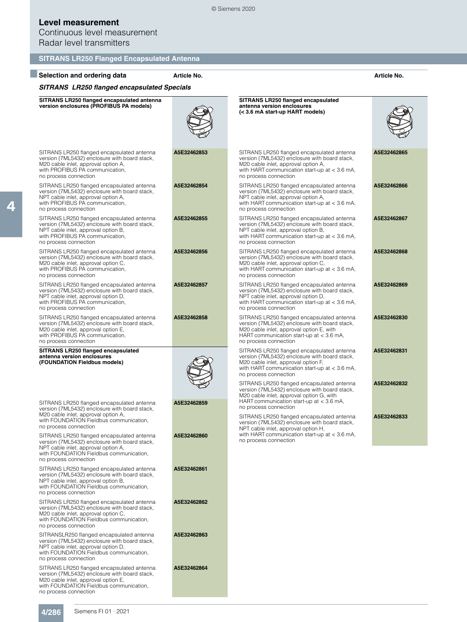Continuous level measurement Radar level transmitters

| <b>SITRANS LR250 Flanged Encapsulated Antenna</b>                                                                                                                                                      |             |                                                                                                                                                                                                                |             |
|--------------------------------------------------------------------------------------------------------------------------------------------------------------------------------------------------------|-------------|----------------------------------------------------------------------------------------------------------------------------------------------------------------------------------------------------------------|-------------|
| Selection and ordering data                                                                                                                                                                            | Article No. |                                                                                                                                                                                                                | Article No. |
| <b>SITRANS LR250 flanged encapsulated Specials</b>                                                                                                                                                     |             |                                                                                                                                                                                                                |             |
| SITRANS LR250 flanged encapsulated antenna<br>version enclosures (PROFIBUS PA models)                                                                                                                  |             | SITRANS LR250 flanged encapsulated<br>antenna version enclosures<br>(< 3.6 mA start-up HART models)                                                                                                            |             |
| SITRANS LR250 flanged encapsulated antenna<br>version (7ML5432) enclosure with board stack,<br>M20 cable inlet, approval option A,<br>with PROFIBUS PA communication,<br>no process connection         | A5E32462853 | SITRANS LR250 flanged encapsulated antenna<br>version (7ML5432) enclosure with board stack,<br>M20 cable inlet, approval option A,<br>with HART communication start-up at $<$ 3.6 mA,<br>no process connection | A5E32462865 |
| SITRANS LR250 flanged encapsulated antenna<br>version (7ML5432) enclosure with board stack,<br>NPT cable inlet, approval option A,<br>with PROFIBUS PA communication,<br>no process connection         | A5E32462854 | SITRANS LR250 flanged encapsulated antenna<br>version (7ML5432) enclosure with board stack,<br>NPT cable inlet, approval option A,<br>with HART communication start-up at $<$ 3.6 mA,<br>no process connection | A5E32462866 |
| SITRANS LR250 flanged encapsulated antenna<br>version (7ML5432) enclosure with board stack,<br>NPT cable inlet, approval option B,<br>with PROFIBUS PA communication,<br>no process connection         | A5E32462855 | SITRANS LR250 flanged encapsulated antenna<br>version (7ML5432) enclosure with board stack,<br>NPT cable inlet, approval option B,<br>with HART communication start-up at < 3.6 mA,<br>no process connection   | A5E32462867 |
| SITRANS LR250 flanged encapsulated antenna<br>version (7ML5432) enclosure with board stack,<br>M20 cable inlet, approval option C,<br>with PROFIBUS PA communication,<br>no process connection         | A5E32462856 | SITRANS LR250 flanged encapsulated antenna<br>version (7ML5432) enclosure with board stack,<br>M20 cable inlet, approval option C,<br>with HART communication start-up at $<$ 3.6 mA,<br>no process connection | A5E32462868 |
| SITRANS LR250 flanged encapsulated antenna<br>version (7ML5432) enclosure with board stack,<br>NPT cable inlet, approval option D,<br>with PROFIBUS PA communication,<br>no process connection         | A5E32462857 | SITRANS LR250 flanged encapsulated antenna<br>version (7ML5432) enclosure with board stack,<br>NPT cable inlet, approval option D,<br>with HART communication start-up at $<$ 3.6 mA,<br>no process connection | A5E32462869 |
| SITRANS LR250 flanged encapsulated antenna<br>version (7ML5432) enclosure with board stack,<br>M20 cable inlet, approval option E,<br>with PROFIBUS PA communication,<br>no process connection         | A5E32462858 | SITRANS LR250 flanged encapsulated antenna<br>version (7ML5432) enclosure with board stack,<br>M20 cable inlet, approval option E, with<br>HART communication start-up at < 3.6 mA,<br>no process connection   | A5E32462830 |
| SITRANS LR250 flanged encapsulated<br>antenna version enclosures<br>(FOUNDATION Fieldbus models)                                                                                                       |             | SITRANS LR250 flanged encapsulated antenna<br>version (7ML5432) enclosure with board stack,<br>M20 cable inlet, approval option F,<br>with HART communication start-up at $<$ 3.6 mA,<br>no process connection | A5E32462831 |
| SITRANS LR250 flanged encapsulated antenna                                                                                                                                                             | A5E32462859 | SITRANS LR250 flanged encapsulated antenna<br>version (7ML5432) enclosure with board stack,<br>M20 cable inlet, approval option G, with<br>HART communication start-up at $<$ 3.6 mA,                          | A5E32462832 |
| version (7ML5432) enclosure with board stack,<br>M20 cable inlet, approval option A,<br>with FOUNDATION Fieldbus communication,<br>no process connection<br>SITRANS LR250 flanged encapsulated antenna | A5E32462860 | no process connection<br>SITRANS LR250 flanged encapsulated antenna<br>version (7ML5432) enclosure with board stack,<br>NPT cable inlet, approval option H,<br>with HART communication start-up at $<$ 3.6 mA, | A5E32462833 |
| version (7ML5432) enclosure with board stack,<br>NPT cable inlet, approval option A,<br>with FOUNDATION Fieldbus communication.<br>no process connection                                               |             | no process connection                                                                                                                                                                                          |             |
| SITRANS LR250 flanged encapsulated antenna<br>version (7ML5432) enclosure with board stack,<br>NPT cable inlet, approval option B,<br>with FOUNDATION Fieldbus communication,<br>no process connection | A5E32462861 |                                                                                                                                                                                                                |             |
| SITRANS LR250 flanged encapsulated antenna<br>version (7ML5432) enclosure with board stack,<br>M20 cable inlet, approval option C,<br>with FOUNDATION Fieldbus communication,<br>no process connection | A5E32462862 |                                                                                                                                                                                                                |             |
| SITRANSLR250 flanged encapsulated antenna<br>version (7ML5432) enclosure with board stack,<br>NPT cable inlet, approval option D,<br>with FOUNDATION Fieldbus communication,<br>no process connection  | A5E32462863 |                                                                                                                                                                                                                |             |
| SITRANS LR250 flanged encapsulated antenna<br>version (7ML5432) enclosure with board stack,<br>M20 cable inlet, approval option E,<br>with FOUNDATION Fieldbus communication,<br>no process connection | A5E32462864 |                                                                                                                                                                                                                |             |

© Siemens 2020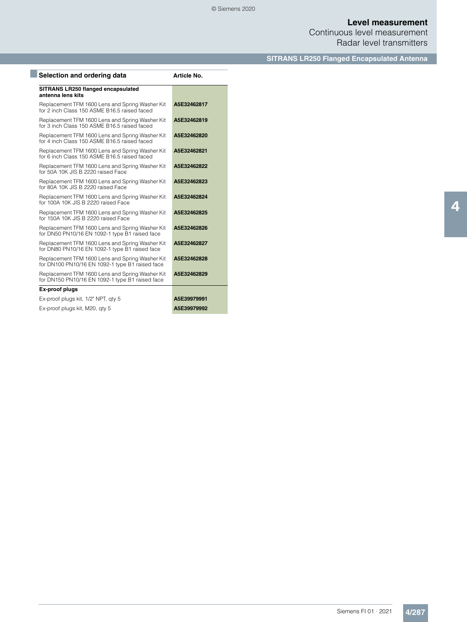Continuous level measurement Radar level transmitters

**SITRANS LR250 Flanged Encapsulated Antenna**

| Selection and ordering data                                                                        | Article No. |
|----------------------------------------------------------------------------------------------------|-------------|
| SITRANS LR250 flanged encapsulated<br>antenna lens kits                                            |             |
| Replacement TFM 1600 Lens and Spring Washer Kit<br>for 2 inch Class 150 ASME B16.5 raised faced    | A5E32462817 |
| Replacement TFM 1600 Lens and Spring Washer Kit<br>for 3 inch Class 150 ASME B16.5 raised faced    | A5E32462819 |
| Replacement TFM 1600 Lens and Spring Washer Kit<br>for 4 inch Class 150 ASME B16.5 raised faced    | A5E32462820 |
| Replacement TFM 1600 Lens and Spring Washer Kit<br>for 6 inch Class 150 ASME B16.5 raised faced    | A5E32462821 |
| Replacement TFM 1600 Lens and Spring Washer Kit<br>for 50A 10K JIS B 2220 raised Face              | A5E32462822 |
| Replacement TFM 1600 Lens and Spring Washer Kit<br>for 80A 10K JIS B 2220 raised Face              | A5E32462823 |
| Replacement TFM 1600 Lens and Spring Washer Kit<br>for 100A 10K JIS B 2220 raised Face             | A5E32462824 |
| Replacement TFM 1600 Lens and Spring Washer Kit<br>for 150A 10K JIS B 2220 raised Face             | A5E32462825 |
| Replacement TFM 1600 Lens and Spring Washer Kit<br>for DN50 PN10/16 EN 1092-1 type B1 raised face  | A5E32462826 |
| Replacement TFM 1600 Lens and Spring Washer Kit<br>for DN80 PN10/16 EN 1092-1 type B1 raised face  | A5E32462827 |
| Replacement TFM 1600 Lens and Spring Washer Kit<br>for DN100 PN10/16 EN 1092-1 type B1 raised face | A5E32462828 |
| Replacement TFM 1600 Lens and Spring Washer Kit<br>for DN150 PN10/16 EN 1092-1 type B1 raised face | A5E32462829 |
| Ex-proof plugs                                                                                     |             |
| Ex-proof plugs kit, 1/2" NPT, gty 5                                                                | A5E39979991 |
| Ex-proof plugs kit, M20, gty 5                                                                     | A5E39979992 |
|                                                                                                    |             |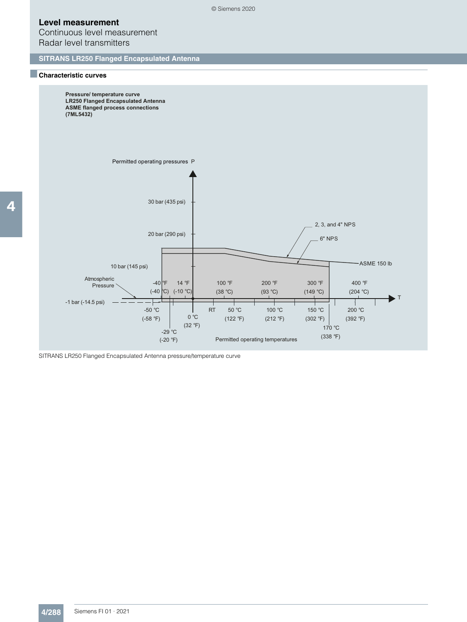Continuous level measurement Radar level transmitters

**SITRANS LR250 Flanged Encapsulated Antenna**

#### ■**Characteristic curves**



© Siemens 2020

SITRANS LR250 Flanged Encapsulated Antenna pressure/temperature curve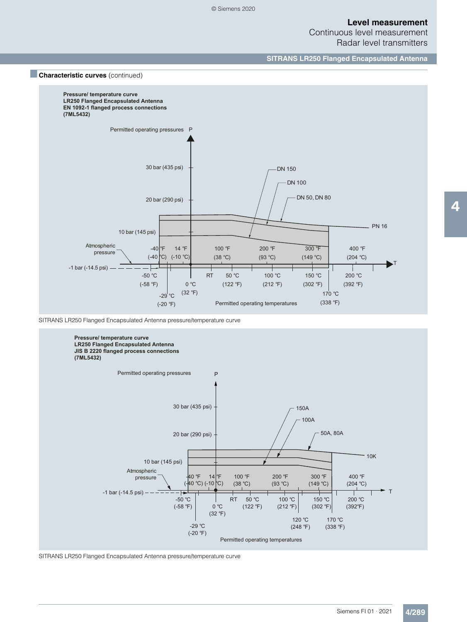Continuous level measurement Radar level transmitters

**SITRANS LR250 Flanged Encapsulated Antenna**



SITRANS LR250 Flanged Encapsulated Antenna pressure/temperature curve



SITRANS LR250 Flanged Encapsulated Antenna pressure/temperature curve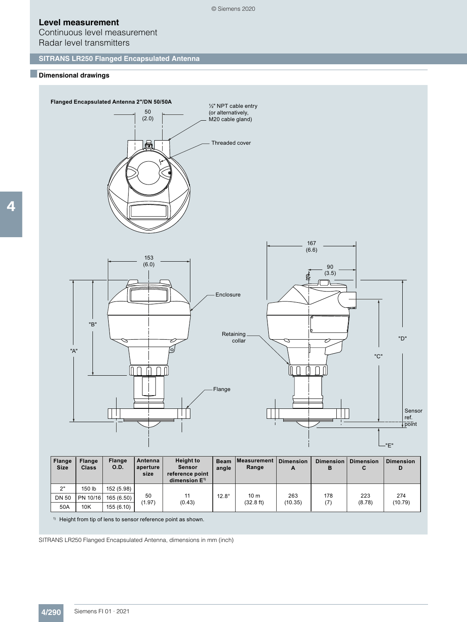Continuous level measurement Radar level transmitters

## **SITRANS LR250 Flanged Encapsulated Antenna**

### ■**Dimensional drawings**

4



| <b>Flange</b><br><b>Size</b> | <b>Flange</b><br><b>Class</b> | <b>Flange</b><br>O.D. | Antenna<br>aperture<br>size | <b>Height to</b><br>Sensor<br>reference point<br>dimension $E$ <sup>1)</sup> | <b>Beam</b><br>angle | ∣Measurement<br>Range        | <b>Dimension</b><br>A | <b>Dimension</b><br>в | Dimension<br>C | Dimension<br>D |
|------------------------------|-------------------------------|-----------------------|-----------------------------|------------------------------------------------------------------------------|----------------------|------------------------------|-----------------------|-----------------------|----------------|----------------|
| 2"                           | 150 lb                        | 152 (5.98)            |                             |                                                                              |                      |                              |                       |                       |                |                |
| <b>DN 50</b>                 | PN 10/16                      | 165 (6.50)            | 50<br>(1.97)                |                                                                              | $12.8^\circ$         | 10 <sub>m</sub><br>(32.8 ft) | 263                   | 178                   | 223<br>(8.78)  | 274<br>(10.79) |
| 50A                          | 10K                           | 155(6.10)             |                             | (0.43)                                                                       |                      |                              | (10.35)               | (7)                   |                |                |

1) Height from tip of lens to sensor reference point as shown.

SITRANS LR250 Flanged Encapsulated Antenna, dimensions in mm (inch)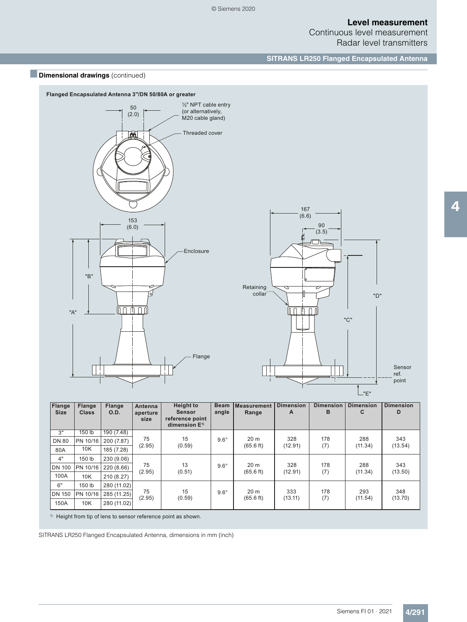Continuous level measurement Radar level transmitters

**SITRANS LR250 Flanged Encapsulated Antenna**





| Flange<br><b>Size</b> | <b>Flange</b><br><b>Class</b> | <b>Flange</b><br>O.D. | Antenna<br>aperture<br>size | <b>Height to</b><br><b>Sensor</b><br>reference point<br>dimension $E^{1}$ | <b>Beam</b><br>angle | <b>Measurement</b><br>Range | <b>Dimension</b><br>A | <b>Dimension</b><br>B | <b>Dimension</b><br>C | <b>Dimension</b><br>D |         |
|-----------------------|-------------------------------|-----------------------|-----------------------------|---------------------------------------------------------------------------|----------------------|-----------------------------|-----------------------|-----------------------|-----------------------|-----------------------|---------|
| 3"                    | $150$ lb                      | 190 (7.48)            |                             |                                                                           |                      |                             |                       |                       |                       |                       |         |
| <b>DN 80</b>          | PN 10/16                      | 200 (7.87)            | 75                          | 15                                                                        | $9.6^\circ$          | 20 <sub>m</sub>             | 328                   | 178                   | 288                   | 343                   |         |
| 80A                   | 10K                           | 185 (7.28)            | (2.95)                      | (0.59)                                                                    |                      | $(65.6 \text{ ft})$         | (12.91)               | (7)                   | (11.34)               | (13.54)               |         |
| 4"                    | 150 lb                        | 230 (9.06)            |                             |                                                                           |                      |                             |                       |                       |                       |                       |         |
| <b>DN 100</b>         | PN 10/16                      | 220 (8.66)            | 75<br>(2.95)                | 13                                                                        | $9.6^\circ$          | 20 <sub>m</sub>             | 328                   | 178                   | 288                   | 343                   |         |
| 100A                  | 10K                           | 210 (8.27)            |                             |                                                                           | (0.51)               |                             | $(65.6 \text{ ft})$   | (12.91)               | (7)                   | (11.34)               | (13.50) |
| 6"                    | 150 lb                        | 280 (11.02)           | 75<br>(2.95)                |                                                                           |                      |                             |                       |                       |                       |                       |         |
| <b>DN 150</b>         | PN 10/16                      | 285 (11.25)           |                             | 15                                                                        | $9.6^\circ$          | 20 <sub>m</sub>             | 333                   | 178                   | 293                   | 348                   |         |
| 150A                  | 10K                           | 280 (11.02)           |                             | (0.59)                                                                    |                      | $(65.6 \text{ ft})$         | (13.11)               | (7)                   | (11.54)               | (13.70)               |         |

1) Height from tip of lens to sensor reference point as shown.

SITRANS LR250 Flanged Encapsulated Antenna, dimensions in mm (inch)